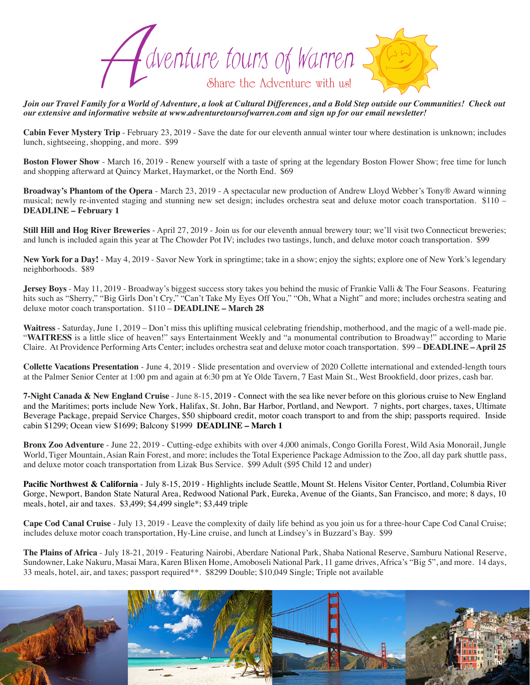

*Join our Travel Family for a World of Adventure, a look at Cultural Differences, and a Bold Step outside our Communities! Check out our extensive and informative website at www.adventuretoursofwarren.com and sign up for our email newsletter!* 

**Cabin Fever Mystery Trip** - February 23, 2019 - Save the date for our eleventh annual winter tour where destination is unknown; includes lunch, sightseeing, shopping, and more. \$99

**Boston Flower Show** - March 16, 2019 - Renew yourself with a taste of spring at the legendary Boston Flower Show; free time for lunch and shopping afterward at Quincy Market, Haymarket, or the North End. \$69

**Broadway's Phantom of the Opera** - March 23, 2019 - A spectacular new production of Andrew Lloyd Webber's Tony® Award winning musical; newly re-invented staging and stunning new set design; includes orchestra seat and deluxe motor coach transportation. \$110 – **DEADLINE – February 1**

**Still Hill and Hog River Breweries** - April 27, 2019 - Join us for our eleventh annual brewery tour; we'll visit two Connecticut breweries; and lunch is included again this year at The Chowder Pot IV; includes two tastings, lunch, and deluxe motor coach transportation. \$99

**New York for a Day!** - May 4, 2019 - Savor New York in springtime; take in a show; enjoy the sights; explore one of New York's legendary neighborhoods. \$89

**Jersey Boys** - May 11, 2019 - Broadway's biggest success story takes you behind the music of Frankie Valli & The Four Seasons. Featuring hits such as "Sherry," "Big Girls Don't Cry," "Can't Take My Eyes Off You," "Oh, What a Night" and more; includes orchestra seating and deluxe motor coach transportation. \$110 – **DEADLINE – March 28**

Waitress - Saturday, June 1, 2019 – Don't miss this uplifting musical celebrating friendship, motherhood, and the magic of a well-made pie. "WAITRESS is a little slice of heaven!" says Entertainment Weekly and "a monumental contribution to Broadway!" according to Marie Claire. At Providence Performing Arts Center; includes orchestra seat and deluxe motor coach transportation. \$99 – **DEADLINE – April 25**

**Collette Vacations Presentation** - June 4, 2019 - Slide presentation and overview of 2020 Collette international and extended-length tours at the Palmer Senior Center at 1:00 pm and again at 6:30 pm at Ye Olde Tavern, 7 East Main St., West Brookfield, door prizes, cash bar.

**7-Night Canada & New England Cruise** - June 8-15, 2019 - Connect with the sea like never before on this glorious cruise to New England and the Maritimes; ports include New York, Halifax, St. John, Bar Harbor, Portland, and Newport. 7 nights, port charges, taxes, Ultimate Beverage Package, prepaid Service Charges, \$50 shipboard credit, motor coach transport to and from the ship; passports required. Inside cabin \$1299; Ocean view \$1699; Balcony \$1999 **DEADLINE – March 1**

**Bronx Zoo Adventure** - June 22, 2019 - Cutting-edge exhibits with over 4,000 animals, Congo Gorilla Forest, Wild Asia Monorail, Jungle World, Tiger Mountain, Asian Rain Forest, and more; includes the Total Experience Package Admission to the Zoo, all day park shuttle pass, and deluxe motor coach transportation from Lizak Bus Service. \$99 Adult (\$95 Child 12 and under)

Pacific Northwest & California - July 8-15, 2019 - Highlights include Seattle, Mount St. Helens Visitor Center, Portland, Columbia River Gorge, Newport, Bandon State Natural Area, Redwood National Park, Eureka, Avenue of the Giants, San Francisco, and more; 8 days, 10 meals, hotel, air and taxes. \$3,499; \$4,499 single\*; \$3,449 triple

**Cape Cod Canal Cruise** - July 13, 2019 - Leave the complexity of daily life behind as you join us for a three-hour Cape Cod Canal Cruise; includes deluxe motor coach transportation, Hy-Line cruise, and lunch at Lindsey's in Buzzard's Bay. \$99

**The Plains of Africa** - July 18-21, 2019 - Featuring Nairobi, Aberdare National Park, Shaba National Reserve, Samburu National Reserve, Sundowner, Lake Nakuru, Masai Mara, Karen Blixen Home, Amoboseli National Park, 11 game drives, Africa's "Big 5", and more. 14 days, 33 meals, hotel, air, and taxes; passport required\*\*. \$8299 Double; \$10,049 Single; Triple not available